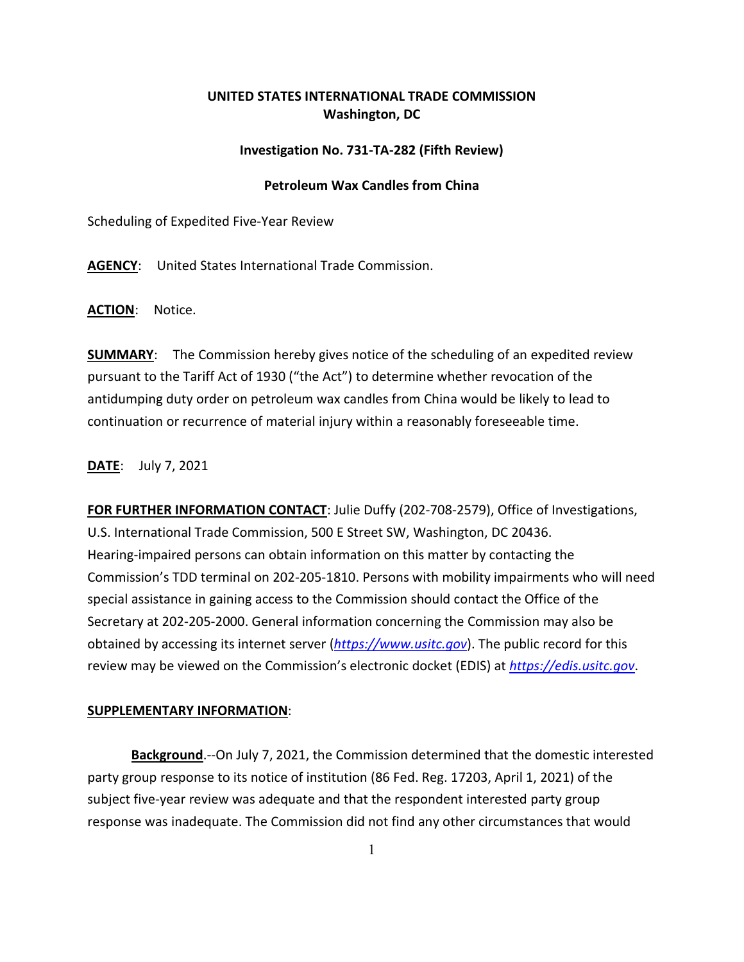## **UNITED STATES INTERNATIONAL TRADE COMMISSION Washington, DC**

## **Investigation No. 731-TA-282 (Fifth Review)**

## **Petroleum Wax Candles from China**

Scheduling of Expedited Five-Year Review

**AGENCY**: United States International Trade Commission.

**ACTION**: Notice.

**SUMMARY**: The Commission hereby gives notice of the scheduling of an expedited review pursuant to the Tariff Act of 1930 ("the Act") to determine whether revocation of the antidumping duty order on petroleum wax candles from China would be likely to lead to continuation or recurrence of material injury within a reasonably foreseeable time.

**DATE**: July 7, 2021

**FOR FURTHER INFORMATION CONTACT**: Julie Duffy (202-708-2579), Office of Investigations, U.S. International Trade Commission, 500 E Street SW, Washington, DC 20436. Hearing-impaired persons can obtain information on this matter by contacting the Commission's TDD terminal on 202-205-1810. Persons with mobility impairments who will need special assistance in gaining access to the Commission should contact the Office of the Secretary at 202-205-2000. General information concerning the Commission may also be obtained by accessing its internet server (*[https://www.usitc.gov](https://www.usitc.gov/)*). The public record for this review may be viewed on the Commission's electronic docket (EDIS) at *[https://edis.usitc.gov](https://edis.usitc.gov/)*.

## **SUPPLEMENTARY INFORMATION**:

**Background**.--On July 7, 2021, the Commission determined that the domestic interested party group response to its notice of institution (86 Fed. Reg. 17203, April 1, 2021) of the subject five-year review was adequate and that the respondent interested party group response was inadequate. The Commission did not find any other circumstances that would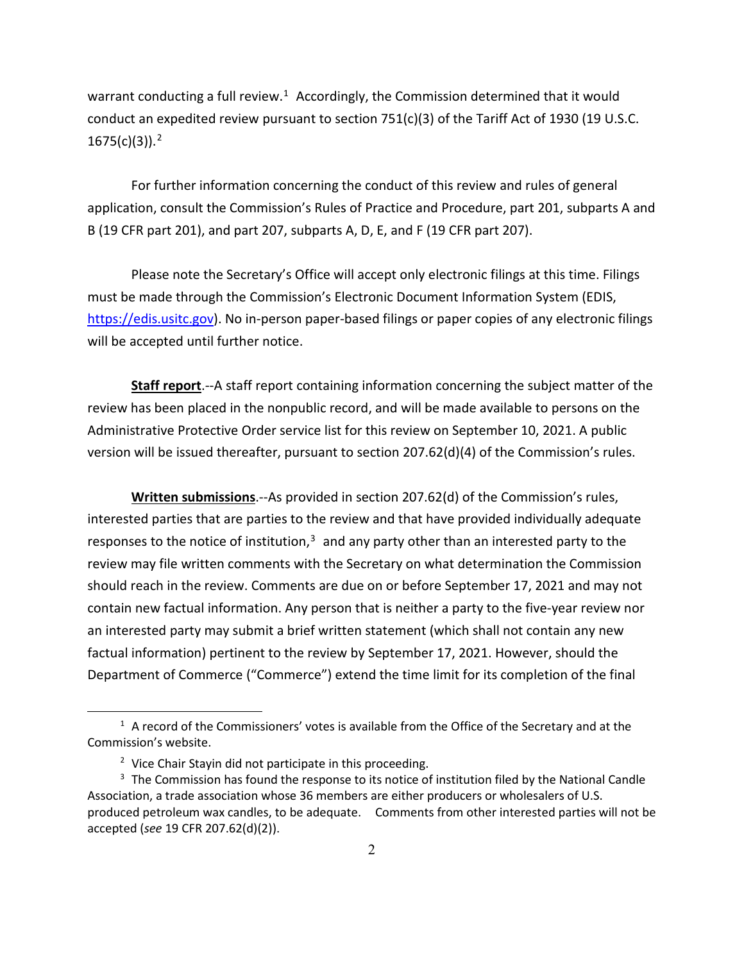warrant conducting a full review.<sup>1</sup> Accordingly, the Commission determined that it would conduct an expedited review pursuant to section 751(c)(3) of the Tariff Act of 1930 (19 U.S.C. 1675(c)(3)). [2](#page-1-1)

For further information concerning the conduct of this review and rules of general application, consult the Commission's Rules of Practice and Procedure, part 201, subparts A and B (19 CFR part 201), and part 207, subparts A, D, E, and F (19 CFR part 207).

Please note the Secretary's Office will accept only electronic filings at this time. Filings must be made through the Commission's Electronic Document Information System (EDIS, [https://edis.usitc.gov\)](https://edis.usitc.gov/). No in-person paper-based filings or paper copies of any electronic filings will be accepted until further notice.

**Staff report**.--A staff report containing information concerning the subject matter of the review has been placed in the nonpublic record, and will be made available to persons on the Administrative Protective Order service list for this review on September 10, 2021. A public version will be issued thereafter, pursuant to section 207.62(d)(4) of the Commission's rules.

**Written submissions**.--As provided in section 207.62(d) of the Commission's rules, interested parties that are parties to the review and that have provided individually adequate responses to the notice of institution, $3$  and any party other than an interested party to the review may file written comments with the Secretary on what determination the Commission should reach in the review. Comments are due on or before September 17, 2021 and may not contain new factual information. Any person that is neither a party to the five-year review nor an interested party may submit a brief written statement (which shall not contain any new factual information) pertinent to the review by September 17, 2021. However, should the Department of Commerce ("Commerce") extend the time limit for its completion of the final

<span id="page-1-0"></span> $<sup>1</sup>$  A record of the Commissioners' votes is available from the Office of the Secretary and at the</sup> Commission's website.

<sup>&</sup>lt;sup>2</sup> Vice Chair Stayin did not participate in this proceeding.

<span id="page-1-2"></span><span id="page-1-1"></span><sup>&</sup>lt;sup>3</sup> The Commission has found the response to its notice of institution filed by the National Candle Association, a trade association whose 36 members are either producers or wholesalers of U.S. produced petroleum wax candles, to be adequate. Comments from other interested parties will not be accepted (*see* 19 CFR 207.62(d)(2)).